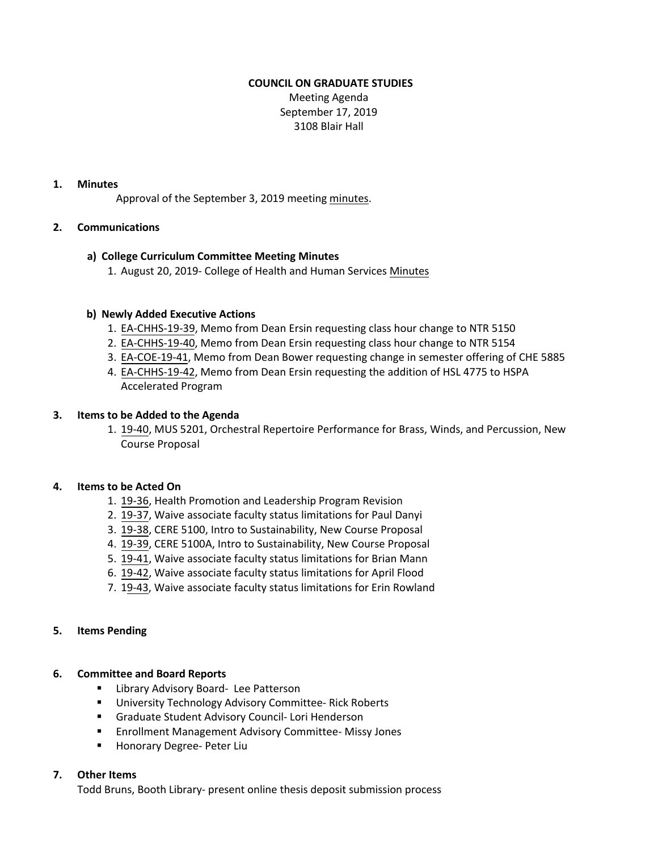# **COUNCIL ON GRADUATE STUDIES**

Meeting Agenda September 17, 2019 3108 Blair Hall

### **1. Minutes**

Approval of the September 3, 2019 meetin[g minutes.](http://castle.eiu.edu/eiucgs/currentminutes/Minutes9-3-19.pdf)

# **2. Communications**

# **a) College Curriculum Committee Meeting Minutes**

1. August 20, 2019- College of Health and Human Services [Minutes](https://pmaileiu-my.sharepoint.com/personal/jemmett_eiu_edu/_layouts/15/onedrive.aspx?id=%2Fpersonal%2Fjemmett%5Feiu%5Fedu%2FDocuments%2FCHHS%20Curriculum%20Committee%20Folder%202019%2F08%2D20%2D19%20Meeting%2FMinutes%2F08%2D20%2D19%20CHHSCC%20Minutes%2Epdf&parent=%2Fpersonal%2Fjemmett%5Feiu%5Fedu%2FDocuments%2FCHHS%20Curriculum%20Committee%20Folder%202019%2F08%2D20%2D19%20Meeting%2FMinutes)

## **b) Newly Added Executive Actions**

- 1. [EA-CHHS-19-39,](http://castle.eiu.edu/eiucgs/exec-actions/EA-CHHS-19-39.pdf) Memo from Dean Ersin requesting class hour change to NTR 5150
- 2. [EA-CHHS-19-40,](http://castle.eiu.edu/eiucgs/exec-actions/EA-CHHS-19-40.pdf) Memo from Dean Ersin requesting class hour change to NTR 5154
- 3. [EA-COE-19-41,](http://castle.eiu.edu/eiucgs/exec-actions/EA-COE-19-41.pdf) Memo from Dean Bower requesting change in semester offering of CHE 5885
- 4. [EA-CHHS-19-42](http://castle.eiu.edu/eiucgs/exec-actions/EA-CHHS-19-42.pdf), Memo from Dean Ersin requesting the addition of HSL 4775 to HSPA Accelerated Program

## **3. Items to be Added to the Agenda**

1. [19-40,](http://castle.eiu.edu/eiucgs/currentagendaitems/agenda19-40.pdf) MUS 5201, Orchestral Repertoire Performance for Brass, Winds, and Percussion, New Course Proposal

### **4. Items to be Acted On**

- 1. [19-36,](http://castle.eiu.edu/eiucgs/currentagendaitems/agenda19-36.pdf) Health Promotion and Leadership Program Revision
- 2. [19-37,](http://castle.eiu.edu/eiucgs/currentagendaitems/agenda19-37.pdf) Waive associate faculty status limitations for Paul Danyi
- 3. [19-38,](http://castle.eiu.edu/eiucgs/currentagendaitems/agenda19-38.pdf) CERE 5100, Intro to Sustainability, New Course Proposal
- 4. [19-39,](http://castle.eiu.edu/eiucgs/currentagendaitems/agenda19-39.pdf) CERE 5100A, Intro to Sustainability, New Course Proposal
- 5. [19-41,](http://castle.eiu.edu/eiucgs/currentagendaitems/agenda19-41.pdf) Waive associate faculty status limitations for Brian Mann
- 6. [19-42, W](http://castle.eiu.edu/eiucgs/currentagendaitems/agenda19-42.pdf)aive associate faculty status limitations for April Flood
- 7. [19-43,](http://castle.eiu.edu/eiucgs/currentagendaitems/agenda19-43.pdf) Waive associate faculty status limitations for Erin Rowland

### **5. Items Pending**

### **6. Committee and Board Reports**

- **E** Library Advisory Board- Lee Patterson
- **University Technology Advisory Committee- Rick Roberts**
- Graduate Student Advisory Council- Lori Henderson
- Enrollment Management Advisory Committee- Missy Jones
- Honorary Degree- Peter Liu

### **7. Other Items**

Todd Bruns, Booth Library- present online thesis deposit submission process